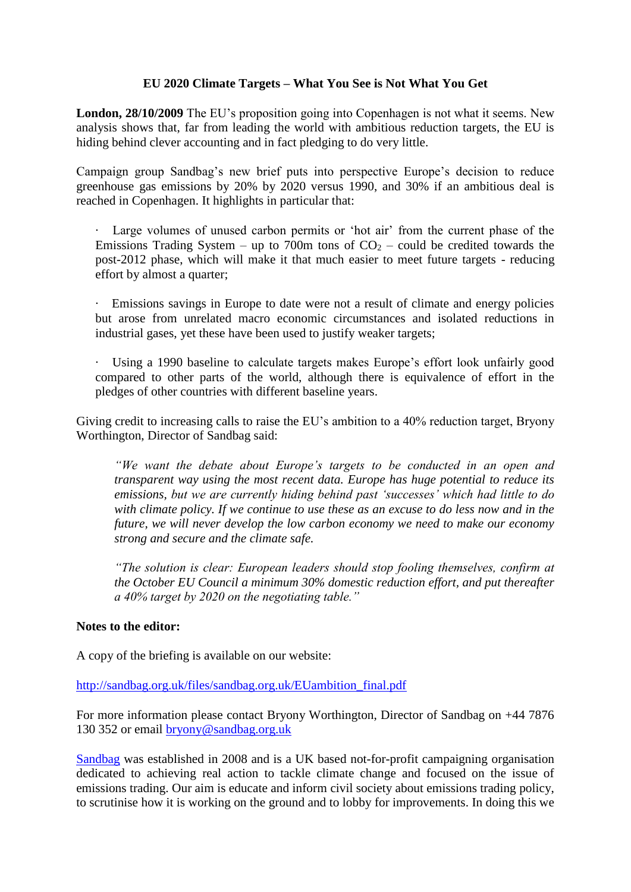## **EU 2020 Climate Targets – What You See is Not What You Get**

**London, 28/10/2009** The EU's proposition going into Copenhagen is not what it seems. New analysis shows that, far from leading the world with ambitious reduction targets, the EU is hiding behind clever accounting and in fact pledging to do very little.

Campaign group Sandbag's new brief puts into perspective Europe's decision to reduce greenhouse gas emissions by 20% by 2020 versus 1990, and 30% if an ambitious deal is reached in Copenhagen. It highlights in particular that:

- · Large volumes of unused carbon permits or 'hot air' from the current phase of the Emissions Trading System – up to 700m tons of  $CO<sub>2</sub>$  – could be credited towards the post-2012 phase, which will make it that much easier to meet future targets - reducing effort by almost a quarter;
- · Emissions savings in Europe to date were not a result of climate and energy policies but arose from unrelated macro economic circumstances and isolated reductions in industrial gases, yet these have been used to justify weaker targets;
- · Using a 1990 baseline to calculate targets makes Europe's effort look unfairly good compared to other parts of the world, although there is equivalence of effort in the pledges of other countries with different baseline years.

Giving credit to increasing calls to raise the EU's ambition to a 40% reduction target, Bryony Worthington, Director of Sandbag said:

*"We want the debate about Europe"s targets to be conducted in an open and transparent way using the most recent data. Europe has huge potential to reduce its emissions, but we are currently hiding behind past "successes" which had little to do with climate policy. If we continue to use these as an excuse to do less now and in the future, we will never develop the low carbon economy we need to make our economy strong and secure and the climate safe.* 

*"The solution is clear: European leaders should stop fooling themselves, confirm at the October EU Council a minimum 30% domestic reduction effort, and put thereafter a 40% target by 2020 on the negotiating table."*

## **Notes to the editor:**

A copy of the briefing is available on our website:

[http://sandbag.org.uk/files/sandbag.org.uk/EUambition\\_final.pdf](http://sandbag.org.uk/files/sandbag.org.uk/EUambition_final.pdf)

For more information please contact Bryony Worthington, Director of Sandbag on +44 7876 130 352 or email [bryony@sandbag.org.uk](mailto:bryony@sandbag.org.uk)

[Sandbag](http://sandbag.org.uk/) was established in 2008 and is a UK based not-for-profit campaigning organisation dedicated to achieving real action to tackle climate change and focused on the issue of emissions trading. Our aim is educate and inform civil society about emissions trading policy, to scrutinise how it is working on the ground and to lobby for improvements. In doing this we